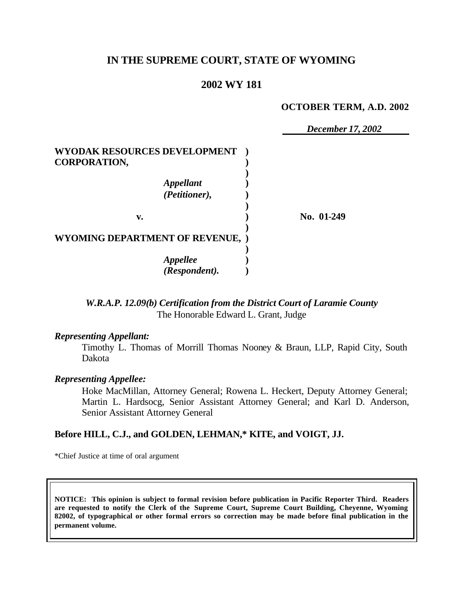# **IN THE SUPREME COURT, STATE OF WYOMING**

# **2002 WY 181**

#### **OCTOBER TERM, A.D. 2002**

*December 17, 2002*

**WYODAK RESOURCES DEVELOPMENT ) CORPORATION, ) )** *Appellant* **)** *(Petitioner),* **) ) v. ) No. 01-249 ) WYOMING DEPARTMENT OF REVENUE, ) )** *Appellee* **)** *(Respondent).* **)**

> *W.R.A.P. 12.09(b) Certification from the District Court of Laramie County* The Honorable Edward L. Grant, Judge

#### *Representing Appellant:*

Timothy L. Thomas of Morrill Thomas Nooney & Braun, LLP, Rapid City, South Dakota

#### *Representing Appellee:*

Hoke MacMillan, Attorney General; Rowena L. Heckert, Deputy Attorney General; Martin L. Hardsocg, Senior Assistant Attorney General; and Karl D. Anderson, Senior Assistant Attorney General

#### **Before HILL, C.J., and GOLDEN, LEHMAN,\* KITE, and VOIGT, JJ.**

\*Chief Justice at time of oral argument

**NOTICE: This opinion is subject to formal revision before publication in Pacific Reporter Third. Readers are requested to notify the Clerk of the Supreme Court, Supreme Court Building, Cheyenne, Wyoming 82002, of typographical or other formal errors so correction may be made before final publication in the permanent volume.**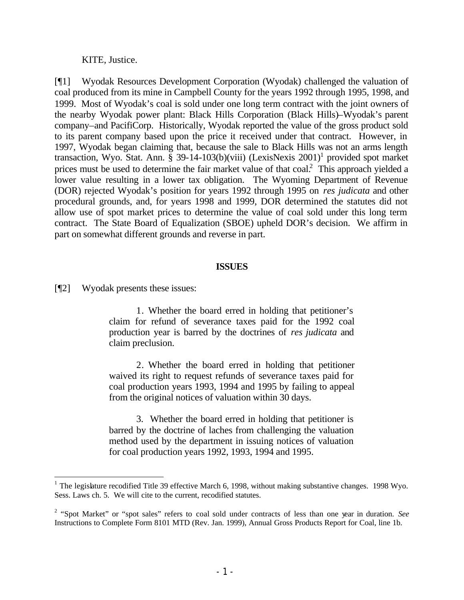KITE, Justice.

[¶1] Wyodak Resources Development Corporation (Wyodak) challenged the valuation of coal produced from its mine in Campbell County for the years 1992 through 1995, 1998, and 1999. Most of Wyodak's coal is sold under one long term contract with the joint owners of the nearby Wyodak power plant: Black Hills Corporation (Black Hills)–Wyodak's parent company–and PacifiCorp. Historically, Wyodak reported the value of the gross product sold to its parent company based upon the price it received under that contract. However, in 1997, Wyodak began claiming that, because the sale to Black Hills was not an arms length transaction, Wyo. Stat. Ann. § 39-14-103(b)(viii) (LexisNexis  $2001$ )<sup>1</sup> provided spot market prices must be used to determine the fair market value of that  $\cosh^2$ . This approach yielded a lower value resulting in a lower tax obligation. The Wyoming Department of Revenue (DOR) rejected Wyodak's position for years 1992 through 1995 on *res judicata* and other procedural grounds, and, for years 1998 and 1999, DOR determined the statutes did not allow use of spot market prices to determine the value of coal sold under this long term contract. The State Board of Equalization (SBOE) upheld DOR's decision. We affirm in part on somewhat different grounds and reverse in part.

#### **ISSUES**

[¶2] Wyodak presents these issues:

1. Whether the board erred in holding that petitioner's claim for refund of severance taxes paid for the 1992 coal production year is barred by the doctrines of *res judicata* and claim preclusion.

2. Whether the board erred in holding that petitioner waived its right to request refunds of severance taxes paid for coal production years 1993, 1994 and 1995 by failing to appeal from the original notices of valuation within 30 days.

3. Whether the board erred in holding that petitioner is barred by the doctrine of laches from challenging the valuation method used by the department in issuing notices of valuation for coal production years 1992, 1993, 1994 and 1995.

<sup>&</sup>lt;sup>1</sup> The legislature recodified Title 39 effective March 6, 1998, without making substantive changes. 1998 Wyo. Sess. Laws ch. 5. We will cite to the current, recodified statutes.

<sup>2</sup> "Spot Market" or "spot sales" refers to coal sold under contracts of less than one year in duration. *See*  Instructions to Complete Form 8101 MTD (Rev. Jan. 1999), Annual Gross Products Report for Coal, line 1b.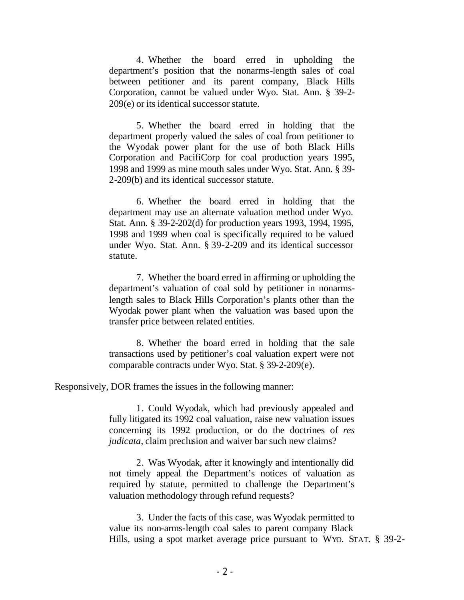4. Whether the board erred in upholding the department's position that the nonarms-length sales of coal between petitioner and its parent company, Black Hills Corporation, cannot be valued under Wyo. Stat. Ann. § 39-2- 209(e) or its identical successor statute.

5. Whether the board erred in holding that the department properly valued the sales of coal from petitioner to the Wyodak power plant for the use of both Black Hills Corporation and PacifiCorp for coal production years 1995, 1998 and 1999 as mine mouth sales under Wyo. Stat. Ann. § 39- 2-209(b) and its identical successor statute.

6. Whether the board erred in holding that the department may use an alternate valuation method under Wyo. Stat. Ann. § 39-2-202(d) for production years 1993, 1994, 1995, 1998 and 1999 when coal is specifically required to be valued under Wyo. Stat. Ann. § 39-2-209 and its identical successor statute.

7. Whether the board erred in affirming or upholding the department's valuation of coal sold by petitioner in nonarmslength sales to Black Hills Corporation's plants other than the Wyodak power plant when the valuation was based upon the transfer price between related entities.

8. Whether the board erred in holding that the sale transactions used by petitioner's coal valuation expert were not comparable contracts under Wyo. Stat. § 39-2-209(e).

Responsively, DOR frames the issues in the following manner:

1. Could Wyodak, which had previously appealed and fully litigated its 1992 coal valuation, raise new valuation issues concerning its 1992 production, or do the doctrines of *res judicata*, claim preclusion and waiver bar such new claims?

2. Was Wyodak, after it knowingly and intentionally did not timely appeal the Department's notices of valuation as required by statute, permitted to challenge the Department's valuation methodology through refund requests?

3. Under the facts of this case, was Wyodak permitted to value its non-arms-length coal sales to parent company Black Hills, using a spot market average price pursuant to WYO. STAT. § 39-2-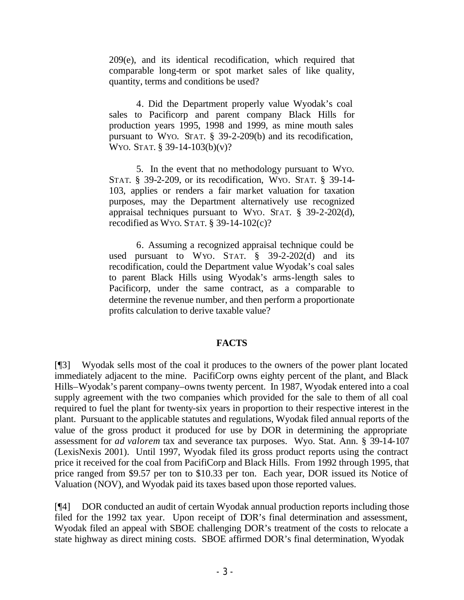209(e), and its identical recodification, which required that comparable long-term or spot market sales of like quality, quantity, terms and conditions be used?

4. Did the Department properly value Wyodak's coal sales to Pacificorp and parent company Black Hills for production years 1995, 1998 and 1999, as mine mouth sales pursuant to WYO. STAT. § 39-2-209(b) and its recodification, WYO. STAT. § 39-14-103(b)(v)?

5. In the event that no methodology pursuant to WYO. STAT. § 39-2-209, or its recodification, WYO. STAT. § 39-14- 103, applies or renders a fair market valuation for taxation purposes, may the Department alternatively use recognized appraisal techniques pursuant to WYO. STAT. § 39-2-202(d), recodified as WYO. STAT. § 39-14-102(c)?

6. Assuming a recognized appraisal technique could be used pursuant to WYO.  $STAT.$  § 39-2-202 $(d)$  and its recodification, could the Department value Wyodak's coal sales to parent Black Hills using Wyodak's arms-length sales to Pacificorp, under the same contract, as a comparable to determine the revenue number, and then perform a proportionate profits calculation to derive taxable value?

## **FACTS**

[¶3] Wyodak sells most of the coal it produces to the owners of the power plant located immediately adjacent to the mine. PacifiCorp owns eighty percent of the plant, and Black Hills–Wyodak's parent company–owns twenty percent. In 1987, Wyodak entered into a coal supply agreement with the two companies which provided for the sale to them of all coal required to fuel the plant for twenty-six years in proportion to their respective interest in the plant. Pursuant to the applicable statutes and regulations, Wyodak filed annual reports of the value of the gross product it produced for use by DOR in determining the appropriate assessment for *ad valorem* tax and severance tax purposes. Wyo. Stat. Ann. § 39-14-107 (LexisNexis 2001). Until 1997, Wyodak filed its gross product reports using the contract price it received for the coal from PacifiCorp and Black Hills. From 1992 through 1995, that price ranged from \$9.57 per ton to \$10.33 per ton. Each year, DOR issued its Notice of Valuation (NOV), and Wyodak paid its taxes based upon those reported values.

[¶4] DOR conducted an audit of certain Wyodak annual production reports including those filed for the 1992 tax year. Upon receipt of DOR's final determination and assessment, Wyodak filed an appeal with SBOE challenging DOR's treatment of the costs to relocate a state highway as direct mining costs. SBOE affirmed DOR's final determination, Wyodak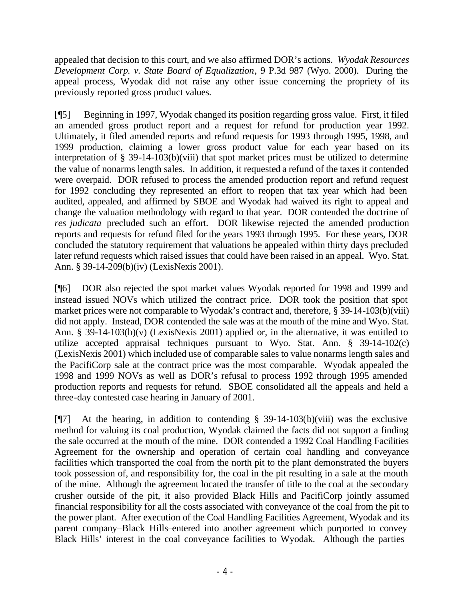appealed that decision to this court, and we also affirmed DOR's actions. *Wyodak Resources Development Corp. v. State Board of Equalization*, 9 P.3d 987 (Wyo. 2000). During the appeal process, Wyodak did not raise any other issue concerning the propriety of its previously reported gross product values.

[¶5] Beginning in 1997, Wyodak changed its position regarding gross value. First, it filed an amended gross product report and a request for refund for production year 1992. Ultimately, it filed amended reports and refund requests for 1993 through 1995, 1998, and 1999 production, claiming a lower gross product value for each year based on its interpretation of § 39-14-103(b)(viii) that spot market prices must be utilized to determine the value of nonarms length sales. In addition, it requested a refund of the taxes it contended were overpaid. DOR refused to process the amended production report and refund request for 1992 concluding they represented an effort to reopen that tax year which had been audited, appealed, and affirmed by SBOE and Wyodak had waived its right to appeal and change the valuation methodology with regard to that year. DOR contended the doctrine of *res judicata* precluded such an effort*.* DOR likewise rejected the amended production reports and requests for refund filed for the years 1993 through 1995. For these years, DOR concluded the statutory requirement that valuations be appealed within thirty days precluded later refund requests which raised issues that could have been raised in an appeal. Wyo. Stat. Ann. § 39-14-209(b)(iv) (LexisNexis 2001).

[¶6] DOR also rejected the spot market values Wyodak reported for 1998 and 1999 and instead issued NOVs which utilized the contract price. DOR took the position that spot market prices were not comparable to Wyodak's contract and, therefore, § 39-14-103(b)(viii) did not apply. Instead, DOR contended the sale was at the mouth of the mine and Wyo. Stat. Ann. § 39-14-103(b)(v) (LexisNexis 2001) applied or, in the alternative, it was entitled to utilize accepted appraisal techniques pursuant to Wyo. Stat. Ann. § 39-14-102(c) (LexisNexis 2001) which included use of comparable sales to value nonarms length sales and the PacifiCorp sale at the contract price was the most comparable. Wyodak appealed the 1998 and 1999 NOVs as well as DOR's refusal to process 1992 through 1995 amended production reports and requests for refund. SBOE consolidated all the appeals and held a three-day contested case hearing in January of 2001.

[ $\sqrt{7}$ ] At the hearing, in addition to contending § 39-14-103(b)(viii) was the exclusive method for valuing its coal production, Wyodak claimed the facts did not support a finding the sale occurred at the mouth of the mine. DOR contended a 1992 Coal Handling Facilities Agreement for the ownership and operation of certain coal handling and conveyance facilities which transported the coal from the north pit to the plant demonstrated the buyers took possession of, and responsibility for, the coal in the pit resulting in a sale at the mouth of the mine. Although the agreement located the transfer of title to the coal at the secondary crusher outside of the pit, it also provided Black Hills and PacifiCorp jointly assumed financial responsibility for all the costs associated with conveyance of the coal from the pit to the power plant. After execution of the Coal Handling Facilities Agreement, Wyodak and its parent company–Black Hills–entered into another agreement which purported to convey Black Hills' interest in the coal conveyance facilities to Wyodak. Although the parties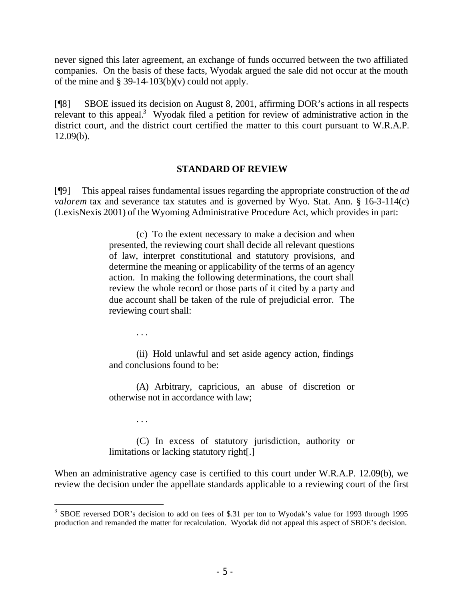never signed this later agreement, an exchange of funds occurred between the two affiliated companies. On the basis of these facts, Wyodak argued the sale did not occur at the mouth of the mine and  $\S 39-14-103(b)(v)$  could not apply.

[¶8] SBOE issued its decision on August 8, 2001, affirming DOR's actions in all respects relevant to this appeal.<sup>3</sup> Wyodak filed a petition for review of administrative action in the district court, and the district court certified the matter to this court pursuant to W.R.A.P. 12.09(b).

### **STANDARD OF REVIEW**

[¶9] This appeal raises fundamental issues regarding the appropriate construction of the *ad valorem* tax and severance tax statutes and is governed by Wyo. Stat. Ann. § 16-3-114(c) (LexisNexis 2001) of the Wyoming Administrative Procedure Act, which provides in part:

> (c) To the extent necessary to make a decision and when presented, the reviewing court shall decide all relevant questions of law, interpret constitutional and statutory provisions, and determine the meaning or applicability of the terms of an agency action. In making the following determinations, the court shall review the whole record or those parts of it cited by a party and due account shall be taken of the rule of prejudicial error. The reviewing court shall:

> > . . .

(ii) Hold unlawful and set aside agency action, findings and conclusions found to be:

(A) Arbitrary, capricious, an abuse of discretion or otherwise not in accordance with law;

. . .

(C) In excess of statutory jurisdiction, authority or limitations or lacking statutory right[.]

When an administrative agency case is certified to this court under W.R.A.P. 12.09(b), we review the decision under the appellate standards applicable to a reviewing court of the first

<sup>&</sup>lt;sup>3</sup> SBOE reversed DOR's decision to add on fees of \$.31 per ton to Wyodak's value for 1993 through 1995 production and remanded the matter for recalculation. Wyodak did not appeal this aspect of SBOE's decision.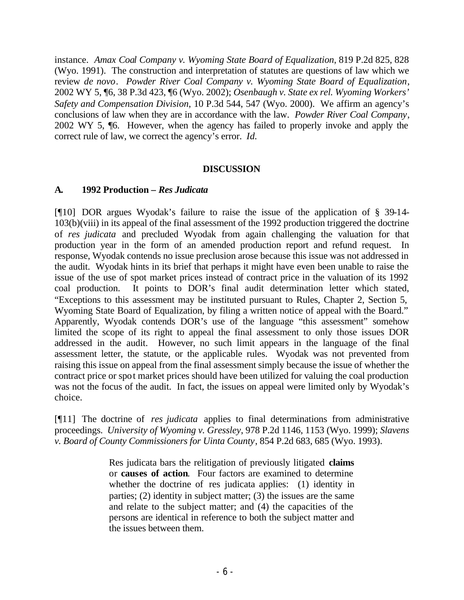instance. *Amax Coal Company v. Wyoming State Board of Equalization*, 819 P.2d 825, 828 (Wyo. 1991). The construction and interpretation of statutes are questions of law which we review *de novo*. *Powder River Coal Company v. Wyoming State Board of Equalization*, 2002 WY 5, ¶6, 38 P.3d 423, ¶6 (Wyo. 2002); *Osenbaugh v. State ex rel. Wyoming Workers' Safety and Compensation Division*, 10 P.3d 544, 547 (Wyo. 2000). We affirm an agency's conclusions of law when they are in accordance with the law. *Powder River Coal Company*, 2002 WY 5, ¶6. However, when the agency has failed to properly invoke and apply the correct rule of law, we correct the agency's error. *Id.*

### **DISCUSSION**

### **A. 1992 Production –** *Res Judicata*

[¶10] DOR argues Wyodak's failure to raise the issue of the application of § 39-14- 103(b)(viii) in its appeal of the final assessment of the 1992 production triggered the doctrine of *res judicata* and precluded Wyodak from again challenging the valuation for that production year in the form of an amended production report and refund request. In response, Wyodak contends no issue preclusion arose because this issue was not addressed in the audit. Wyodak hints in its brief that perhaps it might have even been unable to raise the issue of the use of spot market prices instead of contract price in the valuation of its 1992 coal production. It points to DOR's final audit determination letter which stated, "Exceptions to this assessment may be instituted pursuant to Rules, Chapter 2, Section 5, Wyoming State Board of Equalization, by filing a written notice of appeal with the Board." Apparently, Wyodak contends DOR's use of the language "this assessment" somehow limited the scope of its right to appeal the final assessment to only those issues DOR addressed in the audit. However, no such limit appears in the language of the final assessment letter, the statute, or the applicable rules. Wyodak was not prevented from raising this issue on appeal from the final assessment simply because the issue of whether the contract price or spot market prices should have been utilized for valuing the coal production was not the focus of the audit. In fact, the issues on appeal were limited only by Wyodak's choice.

[¶11] The doctrine of *res judicata* applies to final determinations from administrative proceedings. *University of Wyoming v. Gressley*, 978 P.2d 1146, 1153 (Wyo. 1999); *Slavens v. Board of County Commissioners for Uinta County*, 854 P.2d 683, 685 (Wyo. 1993).

> Res judicata bars the relitigation of previously litigated **claims** or **causes of action**. Four factors are examined to determine whether the doctrine of res judicata applies: (1) identity in parties; (2) identity in subject matter; (3) the issues are the same and relate to the subject matter; and (4) the capacities of the persons are identical in reference to both the subject matter and the issues between them.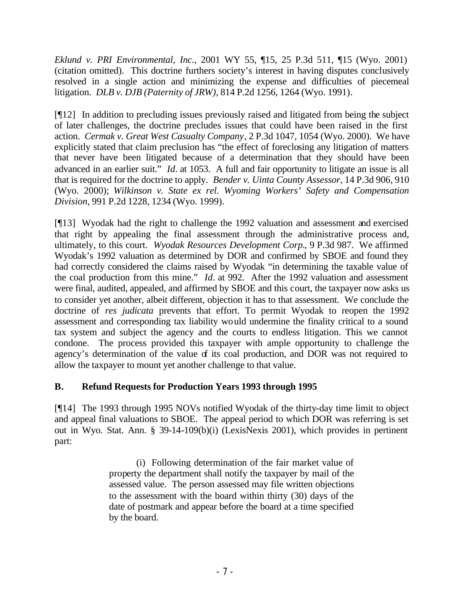*Eklund v. PRI Environmental, Inc.*, 2001 WY 55, ¶15, 25 P.3d 511, ¶15 (Wyo. 2001) (citation omitted). This doctrine furthers society's interest in having disputes conclusively resolved in a single action and minimizing the expense and difficulties of piecemeal litigation. *DLB v. DJB (Paternity of JRW)*, 814 P.2d 1256, 1264 (Wyo. 1991)*.* 

[¶12] In addition to precluding issues previously raised and litigated from being the subject of later challenges, the doctrine precludes issues that could have been raised in the first action. *Cermak v. Great West Casualty Company*, 2 P.3d 1047, 1054 (Wyo. 2000). We have explicitly stated that claim preclusion has "the effect of foreclosing any litigation of matters that never have been litigated because of a determination that they should have been advanced in an earlier suit." *Id.* at 1053. A full and fair opportunity to litigate an issue is all that is required for the doctrine to apply. *Bender v. Uinta County Assessor*, 14 P.3d 906, 910 (Wyo. 2000); *Wilkinson v. State ex rel. Wyoming Workers' Safety and Compensation Division*, 991 P.2d 1228, 1234 (Wyo. 1999).

[¶13] Wyodak had the right to challenge the 1992 valuation and assessment and exercised that right by appealing the final assessment through the administrative process and, ultimately, to this court. *Wyodak Resources Development Corp.*, 9 P.3d 987. We affirmed Wyodak's 1992 valuation as determined by DOR and confirmed by SBOE and found they had correctly considered the claims raised by Wyodak "in determining the taxable value of the coal production from this mine." *Id.* at 992. After the 1992 valuation and assessment were final, audited, appealed, and affirmed by SBOE and this court, the taxpayer now asks us to consider yet another, albeit different, objection it has to that assessment. We conclude the doctrine of *res judicata* prevents that effort. To permit Wyodak to reopen the 1992 assessment and corresponding tax liability would undermine the finality critical to a sound tax system and subject the agency and the courts to endless litigation. This we cannot condone. The process provided this taxpayer with ample opportunity to challenge the agency's determination of the value of its coal production, and DOR was not required to allow the taxpayer to mount yet another challenge to that value.

# **B. Refund Requests for Production Years 1993 through 1995**

[¶14] The 1993 through 1995 NOVs notified Wyodak of the thirty-day time limit to object and appeal final valuations to SBOE. The appeal period to which DOR was referring is set out in Wyo. Stat. Ann. § 39-14-109(b)(i) (LexisNexis 2001), which provides in pertinent part:

> (i) Following determination of the fair market value of property the department shall notify the taxpayer by mail of the assessed value. The person assessed may file written objections to the assessment with the board within thirty (30) days of the date of postmark and appear before the board at a time specified by the board.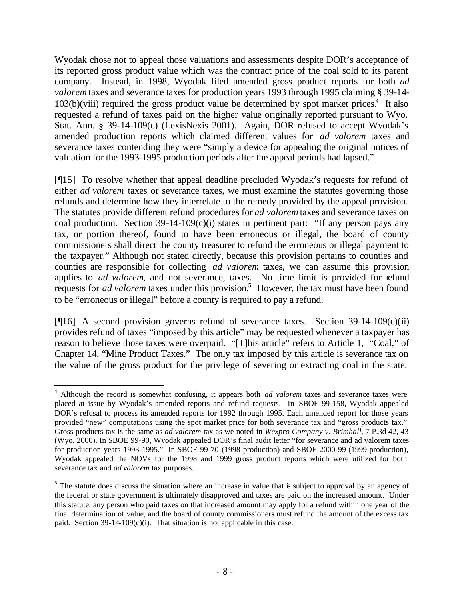Wyodak chose not to appeal those valuations and assessments despite DOR's acceptance of its reported gross product value which was the contract price of the coal sold to its parent company. Instead, in 1998, Wyodak filed amended gross product reports for both *ad valorem* taxes and severance taxes for production years 1993 through 1995 claiming § 39-14-  $103(b)(viii)$  required the gross product value be determined by spot market prices.<sup>4</sup> It also requested a refund of taxes paid on the higher value originally reported pursuant to Wyo. Stat. Ann. § 39-14-109(c) (LexisNexis 2001). Again, DOR refused to accept Wyodak's amended production reports which claimed different values for *ad valorem* taxes and severance taxes contending they were "simply a device for appealing the original notices of valuation for the 1993-1995 production periods after the appeal periods had lapsed."

[¶15] To resolve whether that appeal deadline precluded Wyodak's requests for refund of either *ad valorem* taxes or severance taxes, we must examine the statutes governing those refunds and determine how they interrelate to the remedy provided by the appeal provision. The statutes provide different refund procedures for *ad valorem* taxes and severance taxes on coal production. Section  $39-14-109(c)(i)$  states in pertinent part: "If any person pays any tax, or portion thereof, found to have been erroneous or illegal, the board of county commissioners shall direct the county treasurer to refund the erroneous or illegal payment to the taxpayer." Although not stated directly, because this provision pertains to counties and counties are responsible for collecting *ad valorem* taxes, we can assume this provision applies to *ad valorem*, and not severance, taxes. No time limit is provided for refund requests for *ad valorem* taxes under this provision.<sup>5</sup> However, the tax must have been found to be "erroneous or illegal" before a county is required to pay a refund.

[¶16] A second provision governs refund of severance taxes. Section 39-14-109(c)(ii) provides refund of taxes "imposed by this article" may be requested whenever a taxpayer has reason to believe those taxes were overpaid. "[T]his article" refers to Article 1, "Coal," of Chapter 14, "Mine Product Taxes." The only tax imposed by this article is severance tax on the value of the gross product for the privilege of severing or extracting coal in the state.

<sup>&</sup>lt;sup>4</sup> Although the record is somewhat confusing, it appears both *ad valorem* taxes and severance taxes were placed at issue by Wyodak's amended reports and refund requests. In SBOE 99-158, Wyodak appealed DOR's refusal to process its amended reports for 1992 through 1995. Each amended report for those years provided "new" computations using the spot market price for both severance tax and "gross products tax." Gross products tax is the same as *ad valorem* tax as we noted in *Wexpro Company v. Brimhall*, 7 P.3d 42, 43 (Wyo. 2000). In SBOE 99-90, Wyodak appealed DOR's final audit letter "for severance and ad valorem taxes for production years 1993-1995." In SBOE 99-70 (1998 production) and SBOE 2000-99 (1999 production), Wyodak appealed the NOVs for the 1998 and 1999 gross product reports which were utilized for both severance tax and *ad valorem* tax purposes.

 $<sup>5</sup>$  The statute does discuss the situation where an increase in value that is subject to approval by an agency of</sup> the federal or state government is ultimately disapproved and taxes are paid on the increased amount. Under this statute, any person who paid taxes on that increased amount may apply for a refund within one year of the final determination of value, and the board of county commissioners must refund the amount of the excess tax paid. Section  $39-14-109(c)(i)$ . That situation is not applicable in this case.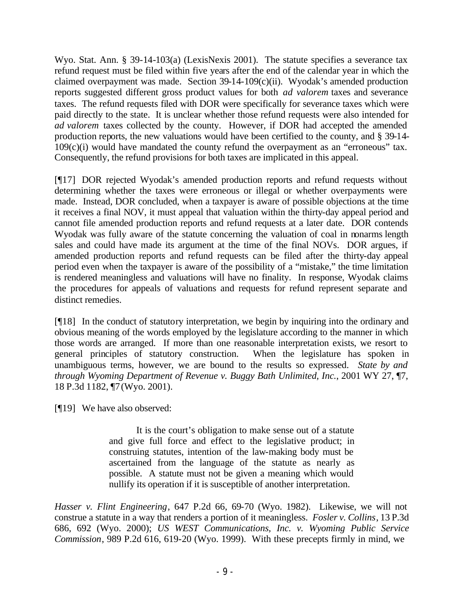Wyo. Stat. Ann. § 39-14-103(a) (LexisNexis 2001). The statute specifies a severance tax refund request must be filed within five years after the end of the calendar year in which the claimed overpayment was made. Section 39-14-109(c)(ii). Wyodak's amended production reports suggested different gross product values for both *ad valorem* taxes and severance taxes. The refund requests filed with DOR were specifically for severance taxes which were paid directly to the state. It is unclear whether those refund requests were also intended for *ad valorem* taxes collected by the county. However, if DOR had accepted the amended production reports, the new valuations would have been certified to the county, and § 39-14-  $109(c)(i)$  would have mandated the county refund the overpayment as an "erroneous" tax. Consequently, the refund provisions for both taxes are implicated in this appeal.

[¶17] DOR rejected Wyodak's amended production reports and refund requests without determining whether the taxes were erroneous or illegal or whether overpayments were made. Instead, DOR concluded, when a taxpayer is aware of possible objections at the time it receives a final NOV, it must appeal that valuation within the thirty-day appeal period and cannot file amended production reports and refund requests at a later date. DOR contends Wyodak was fully aware of the statute concerning the valuation of coal in nonarms length sales and could have made its argument at the time of the final NOVs. DOR argues, if amended production reports and refund requests can be filed after the thirty-day appeal period even when the taxpayer is aware of the possibility of a "mistake," the time limitation is rendered meaningless and valuations will have no finality. In response, Wyodak claims the procedures for appeals of valuations and requests for refund represent separate and distinct remedies.

[¶18] In the conduct of statutory interpretation, we begin by inquiring into the ordinary and obvious meaning of the words employed by the legislature according to the manner in which those words are arranged. If more than one reasonable interpretation exists, we resort to general principles of statutory construction. When the legislature has spoken in unambiguous terms, however, we are bound to the results so expressed. *State by and through Wyoming Department of Revenue v. Buggy Bath Unlimited, Inc.*, 2001 WY 27, ¶7, 18 P.3d 1182, ¶7 (Wyo. 2001).

[¶19] We have also observed:

It is the court's obligation to make sense out of a statute and give full force and effect to the legislative product; in construing statutes, intention of the law-making body must be ascertained from the language of the statute as nearly as possible. A statute must not be given a meaning which would nullify its operation if it is susceptible of another interpretation.

*Hasser v. Flint Engineering*, 647 P.2d 66, 69-70 (Wyo. 1982). Likewise, we will not construe a statute in a way that renders a portion of it meaningless. *Fosler v. Collins*, 13 P.3d 686, 692 (Wyo. 2000); *US WEST Communications, Inc. v. Wyoming Public Service Commission*, 989 P.2d 616, 619-20 (Wyo. 1999). With these precepts firmly in mind, we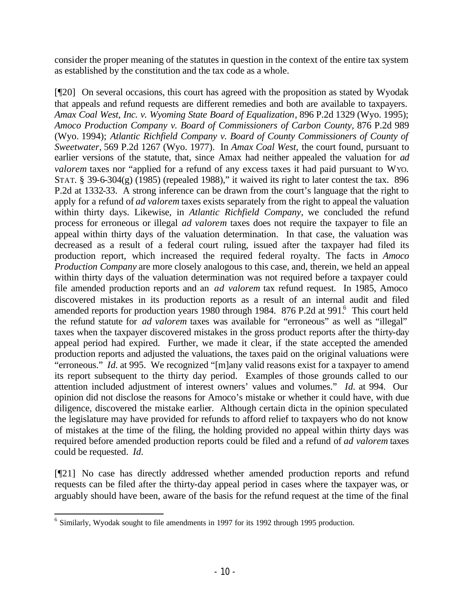consider the proper meaning of the statutes in question in the context of the entire tax system as established by the constitution and the tax code as a whole.

[¶20] On several occasions, this court has agreed with the proposition as stated by Wyodak that appeals and refund requests are different remedies and both are available to taxpayers. *Amax Coal West, Inc. v. Wyoming State Board of Equalization*, 896 P.2d 1329 (Wyo. 1995); *Amoco Production Company v. Board of Commissioners of Carbon County*, 876 P.2d 989 (Wyo. 1994); *Atlantic Richfield Company v. Board of County Commissioners of County of Sweetwater,* 569 P.2d 1267 (Wyo. 1977). In *Amax Coal West,* the court found, pursuant to earlier versions of the statute, that, since Amax had neither appealed the valuation for *ad valorem* taxes nor "applied for a refund of any excess taxes it had paid pursuant to WYO. STAT. § 39-6-304(g) (1985) (repealed 1988)," it waived its right to later contest the tax. 896 P.2d at 1332-33. A strong inference can be drawn from the court's language that the right to apply for a refund of *ad valorem* taxes exists separately from the right to appeal the valuation within thirty days. Likewise, in *Atlantic Richfield Company,* we concluded the refund process for erroneous or illegal *ad valorem* taxes does not require the taxpayer to file an appeal within thirty days of the valuation determination. In that case, the valuation was decreased as a result of a federal court ruling, issued after the taxpayer had filed its production report, which increased the required federal royalty. The facts in *Amoco Production Company* are more closely analogous to this case, and, therein, we held an appeal within thirty days of the valuation determination was not required before a taxpayer could file amended production reports and an *ad valorem* tax refund request. In 1985, Amoco discovered mistakes in its production reports as a result of an internal audit and filed amended reports for production years 1980 through 1984. 876 P.2d at 991.<sup>6</sup> This court held the refund statute for *ad valorem* taxes was available for "erroneous" as well as "illegal" taxes when the taxpayer discovered mistakes in the gross product reports after the thirty-day appeal period had expired. Further, we made it clear, if the state accepted the amended production reports and adjusted the valuations, the taxes paid on the original valuations were "erroneous." *Id.* at 995. We recognized "[m]any valid reasons exist for a taxpayer to amend its report subsequent to the thirty day period. Examples of those grounds called to our attention included adjustment of interest owners' values and volumes." *Id.* at 994. Our opinion did not disclose the reasons for Amoco's mistake or whether it could have, with due diligence, discovered the mistake earlier. Although certain dicta in the opinion speculated the legislature may have provided for refunds to afford relief to taxpayers who do not know of mistakes at the time of the filing, the holding provided no appeal within thirty days was required before amended production reports could be filed and a refund of *ad valorem* taxes could be requested. *Id.*

[¶21] No case has directly addressed whether amended production reports and refund requests can be filed after the thirty-day appeal period in cases where the taxpayer was, or arguably should have been, aware of the basis for the refund request at the time of the final

 6 Similarly, Wyodak sought to file amendments in 1997 for its 1992 through 1995 production.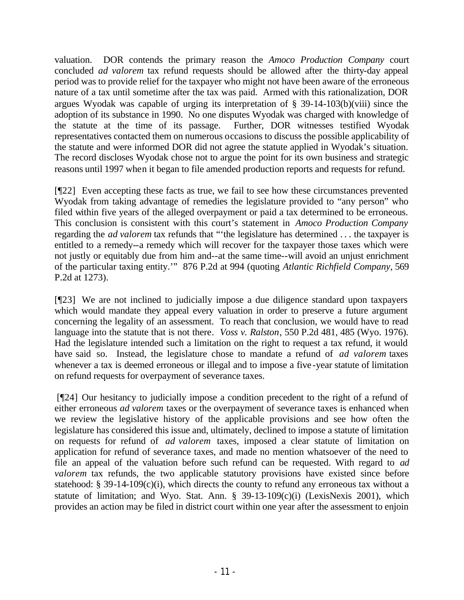valuation. DOR contends the primary reason the *Amoco Production Company* court concluded *ad valorem* tax refund requests should be allowed after the thirty-day appeal period was to provide relief for the taxpayer who might not have been aware of the erroneous nature of a tax until sometime after the tax was paid. Armed with this rationalization, DOR argues Wyodak was capable of urging its interpretation of § 39-14-103(b)(viii) since the adoption of its substance in 1990. No one disputes Wyodak was charged with knowledge of the statute at the time of its passage. Further, DOR witnesses testified Wyodak representatives contacted them on numerous occasions to discuss the possible applicability of the statute and were informed DOR did not agree the statute applied in Wyodak's situation. The record discloses Wyodak chose not to argue the point for its own business and strategic reasons until 1997 when it began to file amended production reports and requests for refund.

[¶22] Even accepting these facts as true, we fail to see how these circumstances prevented Wyodak from taking advantage of remedies the legislature provided to "any person" who filed within five years of the alleged overpayment or paid a tax determined to be erroneous. This conclusion is consistent with this court's statement in *Amoco Production Company*  regarding the *ad valorem* tax refunds that "'the legislature has determined . . . the taxpayer is entitled to a remedy--a remedy which will recover for the taxpayer those taxes which were not justly or equitably due from him and--at the same time--will avoid an unjust enrichment of the particular taxing entity.'" 876 P.2d at 994 (quoting *Atlantic Richfield Company*, 569 P.2d at 1273).

[¶23] We are not inclined to judicially impose a due diligence standard upon taxpayers which would mandate they appeal every valuation in order to preserve a future argument concerning the legality of an assessment. To reach that conclusion, we would have to read language into the statute that is not there*. Voss v. Ralston*, 550 P.2d 481, 485 (Wyo. 1976). Had the legislature intended such a limitation on the right to request a tax refund, it would have said so. Instead, the legislature chose to mandate a refund of *ad valorem* taxes whenever a tax is deemed erroneous or illegal and to impose a five-year statute of limitation on refund requests for overpayment of severance taxes.

 [¶24] Our hesitancy to judicially impose a condition precedent to the right of a refund of either erroneous *ad valorem* taxes or the overpayment of severance taxes is enhanced when we review the legislative history of the applicable provisions and see how often the legislature has considered this issue and, ultimately, declined to impose a statute of limitation on requests for refund of *ad valorem* taxes, imposed a clear statute of limitation on application for refund of severance taxes, and made no mention whatsoever of the need to file an appeal of the valuation before such refund can be requested. With regard to *ad valorem* tax refunds, the two applicable statutory provisions have existed since before statehood:  $\S$  39-14-109(c)(i), which directs the county to refund any erroneous tax without a statute of limitation; and Wyo. Stat. Ann. § 39-13-109(c)(i) (LexisNexis 2001), which provides an action may be filed in district court within one year after the assessment to enjoin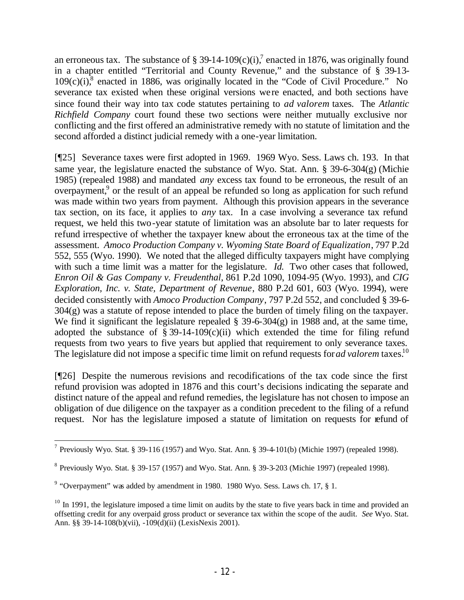an erroneous tax. The substance of § 39-14-109(c)(i),<sup>7</sup> enacted in 1876, was originally found in a chapter entitled "Territorial and County Revenue," and the substance of § 39-13-  $109(c)(i)$ <sup>8</sup> enacted in 1886, was originally located in the "Code of Civil Procedure." No severance tax existed when these original versions were enacted, and both sections have since found their way into tax code statutes pertaining to *ad valorem* taxes. The *Atlantic Richfield Company* court found these two sections were neither mutually exclusive nor conflicting and the first offered an administrative remedy with no statute of limitation and the second afforded a distinct judicial remedy with a one-year limitation.

[¶25] Severance taxes were first adopted in 1969. 1969 Wyo. Sess. Laws ch. 193. In that same year, the legislature enacted the substance of Wyo. Stat. Ann. § 39-6-304(g) (Michie 1985) (repealed 1988) and mandated *any* excess tax found to be erroneous, the result of an overpayment,<sup>9</sup> or the result of an appeal be refunded so long as application for such refund was made within two years from payment. Although this provision appears in the severance tax section, on its face, it applies to *any* tax. In a case involving a severance tax refund request, we held this two-year statute of limitation was an absolute bar to later requests for refund irrespective of whether the taxpayer knew about the erroneous tax at the time of the assessment. *Amoco Production Company v. Wyoming State Board of Equalization*, 797 P.2d 552, 555 (Wyo. 1990). We noted that the alleged difficulty taxpayers might have complying with such a time limit was a matter for the legislature. *Id.* Two other cases that followed, *Enron Oil & Gas Company v. Freudenthal*, 861 P.2d 1090, 1094-95 (Wyo. 1993), and *CIG Exploration, Inc. v. State, Department of Revenue*, 880 P.2d 601, 603 (Wyo. 1994), were decided consistently with *Amoco Production Company*, 797 P.2d 552, and concluded § 39-6- 304(g) was a statute of repose intended to place the burden of timely filing on the taxpayer. We find it significant the legislature repealed  $\S$  39-6-304(g) in 1988 and, at the same time, adopted the substance of § 39-14-109 $(c)(ii)$  which extended the time for filing refund requests from two years to five years but applied that requirement to only severance taxes. The legislature did not impose a specific time limit on refund requests for *ad valorem* taxes.<sup>10</sup>

[¶26] Despite the numerous revisions and recodifications of the tax code since the first refund provision was adopted in 1876 and this court's decisions indicating the separate and distinct nature of the appeal and refund remedies, the legislature has not chosen to impose an obligation of due diligence on the taxpayer as a condition precedent to the filing of a refund request. Nor has the legislature imposed a statute of limitation on requests for refund of

<sup>&</sup>lt;sup>7</sup> Previously Wyo. Stat. § 39-116 (1957) and Wyo. Stat. Ann. § 39-4-101(b) (Michie 1997) (repealed 1998).

<sup>&</sup>lt;sup>8</sup> Previously Wyo. Stat. § 39-157 (1957) and Wyo. Stat. Ann. § 39-3-203 (Michie 1997) (repealed 1998).

 $9$  "Overpayment" was added by amendment in 1980. 1980 Wyo. Sess. Laws ch. 17,  $\S$  1.

 $10$  In 1991, the legislature imposed a time limit on audits by the state to five years back in time and provided an offsetting credit for any overpaid gross product or severance tax within the scope of the audit. *See* Wyo. Stat. Ann. §§ 39-14-108(b)(vii), -109(d)(ii) (LexisNexis 2001).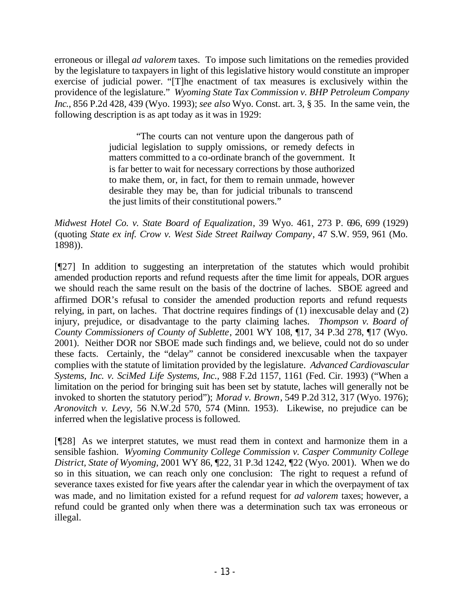erroneous or illegal *ad valorem* taxes. To impose such limitations on the remedies provided by the legislature to taxpayers in light of this legislative history would constitute an improper exercise of judicial power. "[T]he enactment of tax measures is exclusively within the providence of the legislature." *Wyoming State Tax Commission v. BHP Petroleum Company Inc.*, 856 P.2d 428, 439 (Wyo. 1993); *see also* Wyo. Const. art. 3, § 35. In the same vein, the following description is as apt today as it was in 1929:

> "The courts can not venture upon the dangerous path of judicial legislation to supply omissions, or remedy defects in matters committed to a co-ordinate branch of the government. It is far better to wait for necessary corrections by those authorized to make them, or, in fact, for them to remain unmade, however desirable they may be, than for judicial tribunals to transcend the just limits of their constitutional powers."

*Midwest Hotel Co. v. State Board of Equalization*, 39 Wyo. 461, 273 P. 696, 699 (1929) (quoting *State ex inf. Crow v. West Side Street Railway Company*, 47 S.W. 959, 961 (Mo. 1898)).

[¶27] In addition to suggesting an interpretation of the statutes which would prohibit amended production reports and refund requests after the time limit for appeals, DOR argues we should reach the same result on the basis of the doctrine of laches. SBOE agreed and affirmed DOR's refusal to consider the amended production reports and refund requests relying, in part, on laches. That doctrine requires findings of (1) inexcusable delay and (2) injury, prejudice, or disadvantage to the party claiming laches. *Thompson v. Board of County Commissioners of County of Sublette*, 2001 WY 108, ¶17, 34 P.3d 278, ¶17 (Wyo. 2001). Neither DOR nor SBOE made such findings and, we believe, could not do so under these facts. Certainly, the "delay" cannot be considered inexcusable when the taxpayer complies with the statute of limitation provided by the legislature. *Advanced Cardiovascular Systems, Inc. v. SciMed Life Systems, Inc.,* 988 F.2d 1157, 1161 (Fed. Cir. 1993) ("When a limitation on the period for bringing suit has been set by statute, laches will generally not be invoked to shorten the statutory period"); *Morad v. Brown*, 549 P.2d 312, 317 (Wyo. 1976); *Aronovitch v. Levy,* 56 N.W.2d 570, 574 (Minn. 1953). Likewise, no prejudice can be inferred when the legislative process is followed.

[¶28] As we interpret statutes, we must read them in context and harmonize them in a sensible fashion. *Wyoming Community College Commission v. Casper Community College District, State of Wyoming,* 2001 WY 86, ¶22, 31 P.3d 1242, ¶22 (Wyo. 2001). When we do so in this situation, we can reach only one conclusion: The right to request a refund of severance taxes existed for five years after the calendar year in which the overpayment of tax was made, and no limitation existed for a refund request for *ad valorem* taxes; however, a refund could be granted only when there was a determination such tax was erroneous or illegal.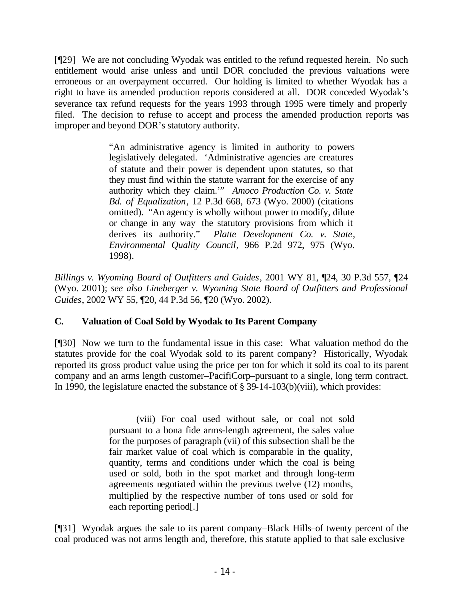[¶29] We are not concluding Wyodak was entitled to the refund requested herein. No such entitlement would arise unless and until DOR concluded the previous valuations were erroneous or an overpayment occurred. Our holding is limited to whether Wyodak has a right to have its amended production reports considered at all. DOR conceded Wyodak's severance tax refund requests for the years 1993 through 1995 were timely and properly filed. The decision to refuse to accept and process the amended production reports was improper and beyond DOR's statutory authority.

> "An administrative agency is limited in authority to powers legislatively delegated. 'Administrative agencies are creatures of statute and their power is dependent upon statutes, so that they must find within the statute warrant for the exercise of any authority which they claim.'" *Amoco Production Co. v. State Bd. of Equalization*, 12 P.3d 668, 673 (Wyo. 2000) (citations omitted). "An agency is wholly without power to modify, dilute or change in any way the statutory provisions from which it derives its authority." *Platte Development Co. v. State*, *Environmental Quality Council*, 966 P.2d 972, 975 (Wyo. 1998).

*Billings v. Wyoming Board of Outfitters and Guides*, 2001 WY 81, ¶24, 30 P.3d 557, ¶24 (Wyo. 2001); *see also Lineberger v. Wyoming State Board of Outfitters and Professional Guides*, 2002 WY 55, ¶20, 44 P.3d 56, ¶20 (Wyo. 2002).

## **C. Valuation of Coal Sold by Wyodak to Its Parent Company**

[¶30] Now we turn to the fundamental issue in this case: What valuation method do the statutes provide for the coal Wyodak sold to its parent company? Historically, Wyodak reported its gross product value using the price per ton for which it sold its coal to its parent company and an arms length customer–PacifiCorp–pursuant to a single, long term contract. In 1990, the legislature enacted the substance of § 39-14-103(b)(viii), which provides:

> (viii) For coal used without sale, or coal not sold pursuant to a bona fide arms-length agreement, the sales value for the purposes of paragraph (vii) of this subsection shall be the fair market value of coal which is comparable in the quality, quantity, terms and conditions under which the coal is being used or sold, both in the spot market and through long-term agreements negotiated within the previous twelve (12) months, multiplied by the respective number of tons used or sold for each reporting period[.]

[¶31] Wyodak argues the sale to its parent company–Black Hills–of twenty percent of the coal produced was not arms length and, therefore, this statute applied to that sale exclusive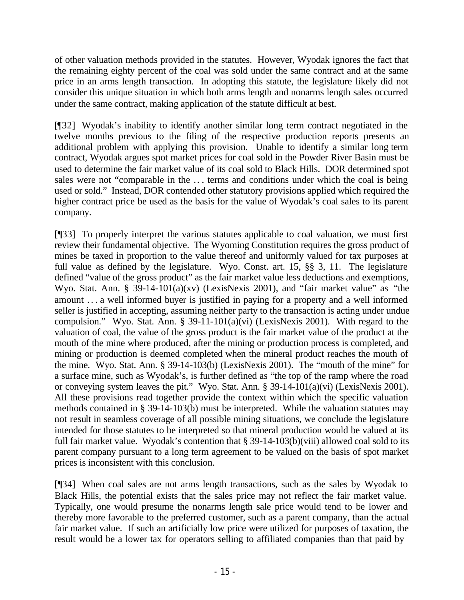of other valuation methods provided in the statutes. However, Wyodak ignores the fact that the remaining eighty percent of the coal was sold under the same contract and at the same price in an arms length transaction. In adopting this statute, the legislature likely did not consider this unique situation in which both arms length and nonarms length sales occurred under the same contract, making application of the statute difficult at best.

[¶32] Wyodak's inability to identify another similar long term contract negotiated in the twelve months previous to the filing of the respective production reports presents an additional problem with applying this provision. Unable to identify a similar long term contract, Wyodak argues spot market prices for coal sold in the Powder River Basin must be used to determine the fair market value of its coal sold to Black Hills. DOR determined spot sales were not "comparable in the .. . terms and conditions under which the coal is being used or sold." Instead, DOR contended other statutory provisions applied which required the higher contract price be used as the basis for the value of Wyodak's coal sales to its parent company.

[¶33] To properly interpret the various statutes applicable to coal valuation, we must first review their fundamental objective. The Wyoming Constitution requires the gross product of mines be taxed in proportion to the value thereof and uniformly valued for tax purposes at full value as defined by the legislature. Wyo. Const. art. 15, §§ 3, 11. The legislature defined "value of the gross product" as the fair market value less deductions and exemptions, Wyo. Stat. Ann. § 39-14-101(a)(xv) (LexisNexis 2001), and "fair market value" as "the amount .. . a well informed buyer is justified in paying for a property and a well informed seller is justified in accepting, assuming neither party to the transaction is acting under undue compulsion." Wyo. Stat. Ann. § 39-11-101(a)(vi) (LexisNexis 2001). With regard to the valuation of coal, the value of the gross product is the fair market value of the product at the mouth of the mine where produced, after the mining or production process is completed, and mining or production is deemed completed when the mineral product reaches the mouth of the mine. Wyo. Stat. Ann. § 39-14-103(b) (LexisNexis 2001). The "mouth of the mine" for a surface mine, such as Wyodak's, is further defined as "the top of the ramp where the road or conveying system leaves the pit." Wyo. Stat. Ann. § 39-14-101(a)(vi) (LexisNexis 2001). All these provisions read together provide the context within which the specific valuation methods contained in § 39-14-103(b) must be interpreted. While the valuation statutes may not result in seamless coverage of all possible mining situations, we conclude the legislature intended for those statutes to be interpreted so that mineral production would be valued at its full fair market value. Wyodak's contention that § 39-14-103(b)(viii) allowed coal sold to its parent company pursuant to a long term agreement to be valued on the basis of spot market prices is inconsistent with this conclusion.

[¶34] When coal sales are not arms length transactions, such as the sales by Wyodak to Black Hills, the potential exists that the sales price may not reflect the fair market value. Typically, one would presume the nonarms length sale price would tend to be lower and thereby more favorable to the preferred customer, such as a parent company, than the actual fair market value. If such an artificially low price were utilized for purposes of taxation, the result would be a lower tax for operators selling to affiliated companies than that paid by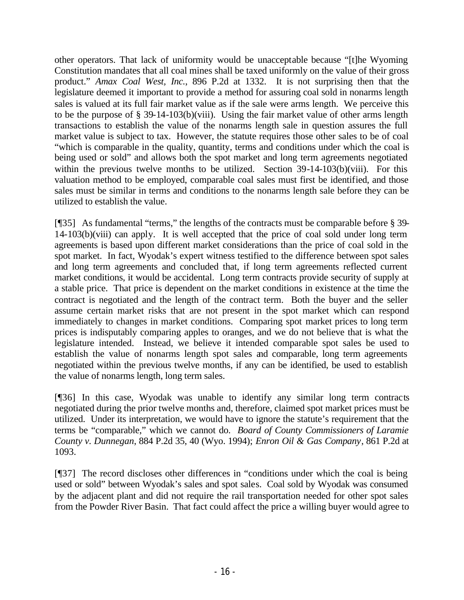other operators. That lack of uniformity would be unacceptable because "[t]he Wyoming Constitution mandates that all coal mines shall be taxed uniformly on the value of their gross product." *Amax Coal West, Inc.*, 896 P.2d at 1332. It is not surprising then that the legislature deemed it important to provide a method for assuring coal sold in nonarms length sales is valued at its full fair market value as if the sale were arms length. We perceive this to be the purpose of  $\S 39-14-103(b)(viii)$ . Using the fair market value of other arms length transactions to establish the value of the nonarms length sale in question assures the full market value is subject to tax. However, the statute requires those other sales to be of coal "which is comparable in the quality, quantity, terms and conditions under which the coal is being used or sold" and allows both the spot market and long term agreements negotiated within the previous twelve months to be utilized. Section 39-14-103(b)(viii). For this valuation method to be employed, comparable coal sales must first be identified, and those sales must be similar in terms and conditions to the nonarms length sale before they can be utilized to establish the value.

[¶35] As fundamental "terms," the lengths of the contracts must be comparable before § 39- 14-103(b)(viii) can apply. It is well accepted that the price of coal sold under long term agreements is based upon different market considerations than the price of coal sold in the spot market. In fact, Wyodak's expert witness testified to the difference between spot sales and long term agreements and concluded that, if long term agreements reflected current market conditions, it would be accidental. Long term contracts provide security of supply at a stable price. That price is dependent on the market conditions in existence at the time the contract is negotiated and the length of the contract term. Both the buyer and the seller assume certain market risks that are not present in the spot market which can respond immediately to changes in market conditions. Comparing spot market prices to long term prices is indisputably comparing apples to oranges, and we do not believe that is what the legislature intended. Instead, we believe it intended comparable spot sales be used to establish the value of nonarms length spot sales and comparable, long term agreements negotiated within the previous twelve months, if any can be identified, be used to establish the value of nonarms length, long term sales.

[¶36] In this case, Wyodak was unable to identify any similar long term contracts negotiated during the prior twelve months and, therefore, claimed spot market prices must be utilized. Under its interpretation, we would have to ignore the statute's requirement that the terms be "comparable," which we cannot do. *Board of County Commissioners of Laramie County v. Dunnegan*, 884 P.2d 35, 40 (Wyo. 1994); *Enron Oil & Gas Company*, 861 P.2d at 1093.

[¶37] The record discloses other differences in "conditions under which the coal is being used or sold" between Wyodak's sales and spot sales. Coal sold by Wyodak was consumed by the adjacent plant and did not require the rail transportation needed for other spot sales from the Powder River Basin. That fact could affect the price a willing buyer would agree to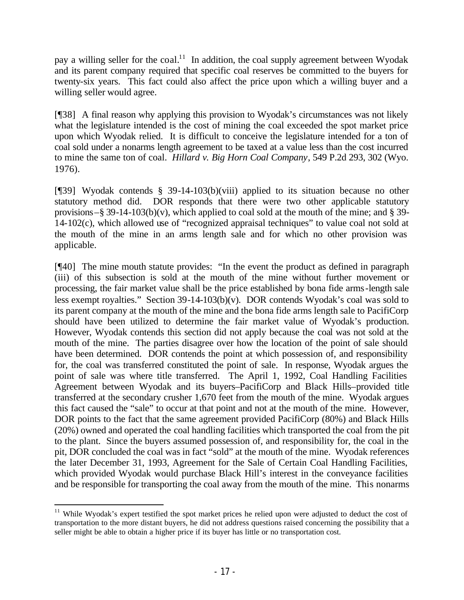pay a willing seller for the coal.<sup>11</sup> In addition, the coal supply agreement between Wyodak and its parent company required that specific coal reserves be committed to the buyers for twenty-six years. This fact could also affect the price upon which a willing buyer and a willing seller would agree.

[¶38] A final reason why applying this provision to Wyodak's circumstances was not likely what the legislature intended is the cost of mining the coal exceeded the spot market price upon which Wyodak relied. It is difficult to conceive the legislature intended for a ton of coal sold under a nonarms length agreement to be taxed at a value less than the cost incurred to mine the same ton of coal. *Hillard v. Big Horn Coal Company*, 549 P.2d 293, 302 (Wyo. 1976).

[¶39] Wyodak contends § 39-14-103(b)(viii) applied to its situation because no other statutory method did. DOR responds that there were two other applicable statutory provisions–§ 39-14-103(b)(v), which applied to coal sold at the mouth of the mine; and § 39-14-102(c), which allowed use of "recognized appraisal techniques" to value coal not sold at the mouth of the mine in an arms length sale and for which no other provision was applicable.

[¶40] The mine mouth statute provides: "In the event the product as defined in paragraph (iii) of this subsection is sold at the mouth of the mine without further movement or processing, the fair market value shall be the price established by bona fide arms-length sale less exempt royalties." Section 39-14-103(b)(v). DOR contends Wyodak's coal was sold to its parent company at the mouth of the mine and the bona fide arms length sale to PacifiCorp should have been utilized to determine the fair market value of Wyodak's production. However, Wyodak contends this section did not apply because the coal was not sold at the mouth of the mine. The parties disagree over how the location of the point of sale should have been determined. DOR contends the point at which possession of, and responsibility for, the coal was transferred constituted the point of sale. In response, Wyodak argues the point of sale was where title transferred. The April 1, 1992, Coal Handling Facilities Agreement between Wyodak and its buyers–PacifiCorp and Black Hills–provided title transferred at the secondary crusher 1,670 feet from the mouth of the mine. Wyodak argues this fact caused the "sale" to occur at that point and not at the mouth of the mine. However, DOR points to the fact that the same agreement provided PacifiCorp (80%) and Black Hills (20%) owned and operated the coal handling facilities which transported the coal from the pit to the plant. Since the buyers assumed possession of, and responsibility for, the coal in the pit, DOR concluded the coal was in fact "sold" at the mouth of the mine. Wyodak references the later December 31, 1993, Agreement for the Sale of Certain Coal Handling Facilities, which provided Wyodak would purchase Black Hill's interest in the conveyance facilities and be responsible for transporting the coal away from the mouth of the mine. This nonarms

 $11$  While Wyodak's expert testified the spot market prices he relied upon were adjusted to deduct the cost of transportation to the more distant buyers, he did not address questions raised concerning the possibility that a seller might be able to obtain a higher price if its buyer has little or no transportation cost.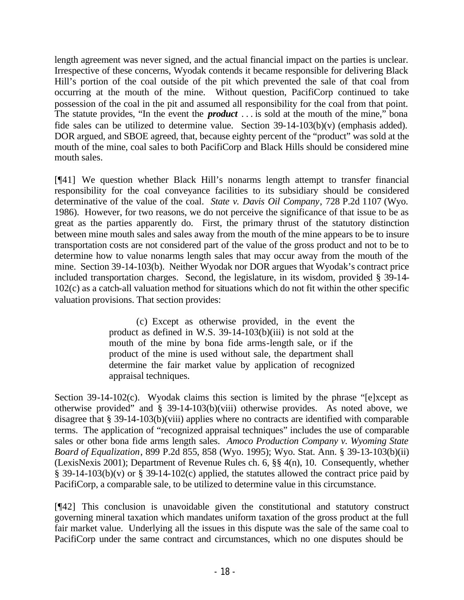length agreement was never signed, and the actual financial impact on the parties is unclear. Irrespective of these concerns, Wyodak contends it became responsible for delivering Black Hill's portion of the coal outside of the pit which prevented the sale of that coal from occurring at the mouth of the mine. Without question, PacifiCorp continued to take possession of the coal in the pit and assumed all responsibility for the coal from that point. The statute provides, "In the event the *product* . . . is sold at the mouth of the mine," bona fide sales can be utilized to determine value. Section 39-14-103(b)(v) (emphasis added). DOR argued, and SBOE agreed, that, because eighty percent of the "product" was sold at the mouth of the mine, coal sales to both PacifiCorp and Black Hills should be considered mine mouth sales.

[¶41] We question whether Black Hill's nonarms length attempt to transfer financial responsibility for the coal conveyance facilities to its subsidiary should be considered determinative of the value of the coal. *State v. Davis Oil Company*, 728 P.2d 1107 (Wyo. 1986). However, for two reasons, we do not perceive the significance of that issue to be as great as the parties apparently do. First, the primary thrust of the statutory distinction between mine mouth sales and sales away from the mouth of the mine appears to be to insure transportation costs are not considered part of the value of the gross product and not to be to determine how to value nonarms length sales that may occur away from the mouth of the mine. Section 39-14-103(b). Neither Wyodak nor DOR argues that Wyodak's contract price included transportation charges. Second, the legislature, in its wisdom, provided § 39-14- 102(c) as a catch-all valuation method for situations which do not fit within the other specific valuation provisions. That section provides:

> (c) Except as otherwise provided, in the event the product as defined in W.S. 39-14-103(b)(iii) is not sold at the mouth of the mine by bona fide arms-length sale, or if the product of the mine is used without sale, the department shall determine the fair market value by application of recognized appraisal techniques.

Section 39-14-102(c). Wyodak claims this section is limited by the phrase "[e]xcept as otherwise provided" and § 39-14-103(b)(viii) otherwise provides. As noted above, we disagree that § 39-14-103(b)(viii) applies where no contracts are identified with comparable terms. The application of "recognized appraisal techniques" includes the use of comparable sales or other bona fide arms length sales. *Amoco Production Company v. Wyoming State Board of Equalization*, 899 P.2d 855, 858 (Wyo. 1995); Wyo. Stat. Ann. § 39-13-103(b)(ii) (LexisNexis 2001); Department of Revenue Rules ch. 6, §§ 4(n), 10. Consequently, whether § 39-14-103(b)(v) or § 39-14-102(c) applied, the statutes allowed the contract price paid by PacifiCorp, a comparable sale, to be utilized to determine value in this circumstance.

[¶42] This conclusion is unavoidable given the constitutional and statutory construct governing mineral taxation which mandates uniform taxation of the gross product at the full fair market value. Underlying all the issues in this dispute was the sale of the same coal to PacifiCorp under the same contract and circumstances, which no one disputes should be